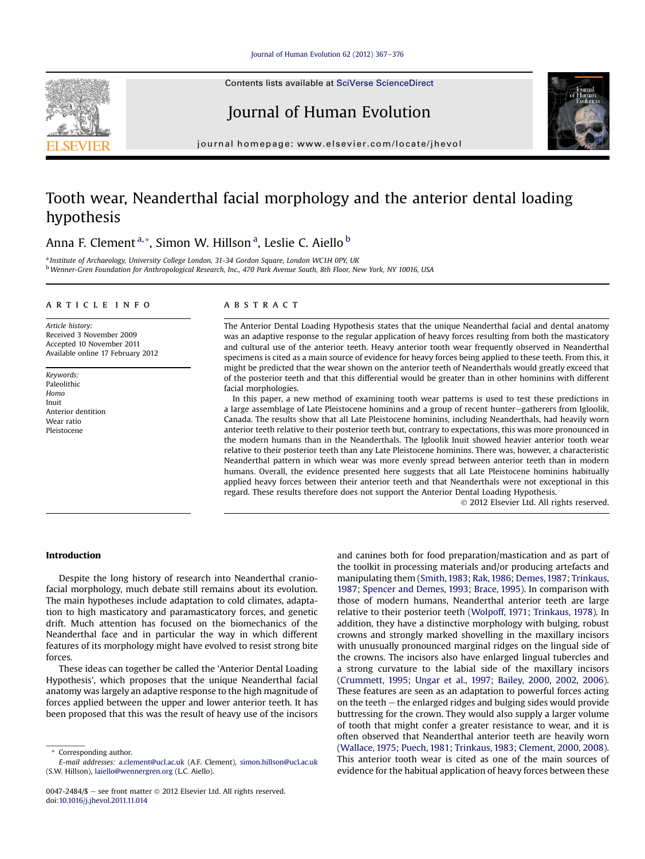#### [Journal of Human Evolution 62 \(2012\) 367](http://dx.doi.org/10.1016/j.jhevol.2011.11.014)-[376](http://dx.doi.org/10.1016/j.jhevol.2011.11.014)

Contents lists available at SciVerse ScienceDirect

## Journal of Human Evolution

journal homepage: [www.elsevier.com/locate/jhevol](http://www.elsevier.com/locate/jhevol)

# Tooth wear, Neanderthal facial morphology and the anterior dental loading hypothesis

Anna F. Clement <sup>a, \*</sup>, Simon W. Hillson <sup>a</sup>, Leslie C. Aiello <sup>b</sup>

<sup>a</sup> Institute of Archaeology, University College London, 31-34 Gordon Square, London WC1H 0PY, UK <sup>b</sup> Wenner-Gren Foundation for Anthropological Research, Inc., 470 Park Avenue South, 8th Floor, New York, NY 10016, USA

#### article info

Article history: Received 3 November 2009 Accepted 10 November 2011 Available online 17 February 2012

Keywords: Paleolithic Homo Inuit Anterior dentition Wear ratio Pleistocene

## ABSTRACT

The Anterior Dental Loading Hypothesis states that the unique Neanderthal facial and dental anatomy was an adaptive response to the regular application of heavy forces resulting from both the masticatory and cultural use of the anterior teeth. Heavy anterior tooth wear frequently observed in Neanderthal specimens is cited as a main source of evidence for heavy forces being applied to these teeth. From this, it might be predicted that the wear shown on the anterior teeth of Neanderthals would greatly exceed that of the posterior teeth and that this differential would be greater than in other hominins with different facial morphologies.

In this paper, a new method of examining tooth wear patterns is used to test these predictions in a large assemblage of Late Pleistocene hominins and a group of recent hunter-gatherers from Igloolik, Canada. The results show that all Late Pleistocene hominins, including Neanderthals, had heavily worn anterior teeth relative to their posterior teeth but, contrary to expectations, this was more pronounced in the modern humans than in the Neanderthals. The Igloolik Inuit showed heavier anterior tooth wear relative to their posterior teeth than any Late Pleistocene hominins. There was, however, a characteristic Neanderthal pattern in which wear was more evenly spread between anterior teeth than in modern humans. Overall, the evidence presented here suggests that all Late Pleistocene hominins habitually applied heavy forces between their anterior teeth and that Neanderthals were not exceptional in this regard. These results therefore does not support the Anterior Dental Loading Hypothesis.

2012 Elsevier Ltd. All rights reserved.

## Introduction

Despite the long history of research into Neanderthal craniofacial morphology, much debate still remains about its evolution. The main hypotheses include adaptation to cold climates, adaptation to high masticatory and paramasticatory forces, and genetic drift. Much attention has focused on the biomechanics of the Neanderthal face and in particular the way in which different features of its morphology might have evolved to resist strong bite forces.

These ideas can together be called the 'Anterior Dental Loading Hypothesis', which proposes that the unique Neanderthal facial anatomy was largely an adaptive response to the high magnitude of forces applied between the upper and lower anterior teeth. It has been proposed that this was the result of heavy use of the incisors

and canines both for food preparation/mastication and as part of the toolkit in processing materials and/or producing artefacts and manipulating them [\(Smith, 1983](#page-9-0); [Rak, 1986](#page-9-0); [Demes, 1987;](#page-8-0) [Trinkaus,](#page-9-0) [1987;](#page-9-0) [Spencer and Demes, 1993;](#page-9-0) [Brace, 1995\)](#page-8-0). In comparison with those of modern humans, Neanderthal anterior teeth are large relative to their posterior teeth [\(Wolpoff, 1971](#page-9-0); [Trinkaus, 1978\)](#page-9-0). In addition, they have a distinctive morphology with bulging, robust crowns and strongly marked shovelling in the maxillary incisors with unusually pronounced marginal ridges on the lingual side of the crowns. The incisors also have enlarged lingual tubercles and a strong curvature to the labial side of the maxillary incisors ([Crummett, 1995;](#page-8-0) [Ungar et al., 1997](#page-9-0); [Bailey, 2000,](#page-8-0) [2002,](#page-8-0) [2006\)](#page-8-0). These features are seen as an adaptation to powerful forces acting on the teeth  $-$  the enlarged ridges and bulging sides would provide buttressing for the crown. They would also supply a larger volume of tooth that might confer a greater resistance to wear, and it is often observed that Neanderthal anterior teeth are heavily worn ([Wallace, 1975;](#page-9-0) [Puech, 1981](#page-9-0); [Trinkaus, 1983;](#page-9-0) [Clement, 2000,](#page-8-0) [2008\)](#page-8-0). This anterior tooth wear is cited as one of the main sources of evidence for the habitual application of heavy forces between these





Corresponding author.

E-mail addresses: [a.clement@ucl.ac.uk](mailto:a.clement@ucl.ac.uk) (A.F. Clement), [simon.hillson@ucl.ac.uk](mailto:simon.hillson@ucl.ac.uk) (S.W. Hillson), [laiello@wennergren.org](mailto:laiello@wennergren.org) (L.C. Aiello).

<sup>0047-2484/\$ -</sup> see front matter  $\odot$  2012 Elsevier Ltd. All rights reserved. doi[:10.1016/j.jhevol.2011.11.014](http://dx.doi.org/10.1016/j.jhevol.2011.11.014)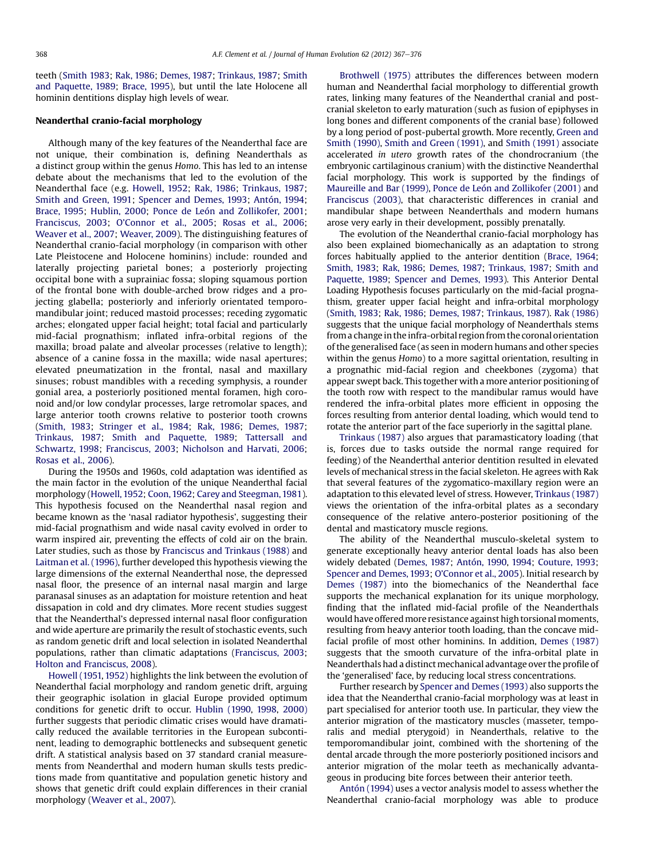teeth ([Smith 1983](#page-9-0); [Rak, 1986;](#page-9-0) [Demes, 1987](#page-8-0); [Trinkaus, 1987](#page-9-0); [Smith](#page-9-0) [and Paquette, 1989;](#page-9-0) [Brace, 1995\)](#page-8-0), but until the late Holocene all hominin dentitions display high levels of wear.

#### Neanderthal cranio-facial morphology

Although many of the key features of the Neanderthal face are not unique, their combination is, defining Neanderthals as a distinct group within the genus Homo. This has led to an intense debate about the mechanisms that led to the evolution of the Neanderthal face (e.g. [Howell, 1952](#page-9-0); [Rak, 1986;](#page-9-0) [Trinkaus, 1987](#page-9-0); [Smith and Green, 1991](#page-9-0); [Spencer and Demes, 1993](#page-9-0); [Antón, 1994](#page-8-0); [Brace, 1995](#page-8-0); [Hublin, 2000;](#page-9-0) [Ponce de León and Zollikofer, 2001](#page-9-0); [Franciscus, 2003](#page-8-0); O'[Connor et al., 2005](#page-9-0); [Rosas et al., 2006](#page-9-0); [Weaver et al., 2007;](#page-9-0) [Weaver, 2009](#page-9-0)). The distinguishing features of Neanderthal cranio-facial morphology (in comparison with other Late Pleistocene and Holocene hominins) include: rounded and laterally projecting parietal bones; a posteriorly projecting occipital bone with a suprainiac fossa; sloping squamous portion of the frontal bone with double-arched brow ridges and a projecting glabella; posteriorly and inferiorly orientated temporomandibular joint; reduced mastoid processes; receding zygomatic arches; elongated upper facial height; total facial and particularly mid-facial prognathism; inflated infra-orbital regions of the maxilla; broad palate and alveolar processes (relative to length); absence of a canine fossa in the maxilla; wide nasal apertures; elevated pneumatization in the frontal, nasal and maxillary sinuses; robust mandibles with a receding symphysis, a rounder gonial area, a posteriorly positioned mental foramen, high coronoid and/or low condylar processes, large retromolar spaces, and large anterior tooth crowns relative to posterior tooth crowns ([Smith, 1983;](#page-9-0) [Stringer et al., 1984](#page-9-0); [Rak, 1986;](#page-9-0) [Demes, 1987](#page-8-0); [Trinkaus, 1987](#page-9-0); [Smith and Paquette, 1989;](#page-9-0) [Tattersall and](#page-9-0) [Schwartz, 1998;](#page-9-0) [Franciscus, 2003](#page-8-0); [Nicholson and Harvati, 2006](#page-9-0); [Rosas et al., 2006\)](#page-9-0).

During the 1950s and 1960s, cold adaptation was identified as the main factor in the evolution of the unique Neanderthal facial morphology ([Howell, 1952](#page-9-0); [Coon, 1962](#page-8-0); [Carey and Steegman, 1981\)](#page-8-0). This hypothesis focused on the Neanderthal nasal region and became known as the 'nasal radiator hypothesis', suggesting their mid-facial prognathism and wide nasal cavity evolved in order to warm inspired air, preventing the effects of cold air on the brain. Later studies, such as those by [Franciscus and Trinkaus \(1988\)](#page-8-0) and [Laitman et al. \(1996\),](#page-9-0) further developed this hypothesis viewing the large dimensions of the external Neanderthal nose, the depressed nasal floor, the presence of an internal nasal margin and large paranasal sinuses as an adaptation for moisture retention and heat dissapation in cold and dry climates. More recent studies suggest that the Neanderthal's depressed internal nasal floor configuration and wide aperture are primarily the result of stochastic events, such as random genetic drift and local selection in isolated Neanderthal populations, rather than climatic adaptations [\(Franciscus, 2003](#page-8-0); [Holton and Franciscus, 2008](#page-9-0)).

[Howell \(1951,](#page-9-0) [1952\)](#page-9-0) highlights the link between the evolution of Neanderthal facial morphology and random genetic drift, arguing their geographic isolation in glacial Europe provided optimum conditions for genetic drift to occur. [Hublin \(1990,](#page-9-0) [1998](#page-9-0), [2000\)](#page-9-0) further suggests that periodic climatic crises would have dramatically reduced the available territories in the European subcontinent, leading to demographic bottlenecks and subsequent genetic drift. A statistical analysis based on 37 standard cranial measurements from Neanderthal and modern human skulls tests predictions made from quantitative and population genetic history and shows that genetic drift could explain differences in their cranial morphology ([Weaver et al., 2007](#page-9-0)).

[Brothwell \(1975\)](#page-8-0) attributes the differences between modern human and Neanderthal facial morphology to differential growth rates, linking many features of the Neanderthal cranial and postcranial skeleton to early maturation (such as fusion of epiphyses in long bones and different components of the cranial base) followed by a long period of post-pubertal growth. More recently, [Green and](#page-9-0) [Smith \(1990\)](#page-9-0), [Smith and Green \(1991\)](#page-9-0), and [Smith \(1991\)](#page-9-0) associate accelerated in utero growth rates of the chondrocranium (the embryonic cartilaginous cranium) with the distinctive Neanderthal facial morphology. This work is supported by the findings of [Maureille and Bar \(1999\),](#page-9-0) [Ponce de León and Zollikofer \(2001\)](#page-9-0) and [Franciscus \(2003\)](#page-8-0), that characteristic differences in cranial and mandibular shape between Neanderthals and modern humans arose very early in their development, possibly prenatally.

The evolution of the Neanderthal cranio-facial morphology has also been explained biomechanically as an adaptation to strong forces habitually applied to the anterior dentition ([Brace, 1964](#page-8-0); [Smith, 1983](#page-9-0); [Rak, 1986](#page-9-0); [Demes, 1987](#page-8-0); [Trinkaus, 1987;](#page-9-0) [Smith and](#page-9-0) [Paquette, 1989](#page-9-0); [Spencer and Demes, 1993](#page-9-0)). This Anterior Dental Loading Hypothesis focuses particularly on the mid-facial prognathism, greater upper facial height and infra-orbital morphology ([Smith, 1983](#page-9-0); [Rak, 1986](#page-9-0); [Demes, 1987](#page-8-0); [Trinkaus, 1987](#page-9-0)). [Rak \(1986\)](#page-9-0) suggests that the unique facial morphology of Neanderthals stems from a change in the infra-orbital region from the coronal orientation of the generalised face (as seen in modern humans and other species within the genus Homo) to a more sagittal orientation, resulting in a prognathic mid-facial region and cheekbones (zygoma) that appear swept back. This together with a more anterior positioning of the tooth row with respect to the mandibular ramus would have rendered the infra-orbital plates more efficient in opposing the forces resulting from anterior dental loading, which would tend to rotate the anterior part of the face superiorly in the sagittal plane.

[Trinkaus \(1987\)](#page-9-0) also argues that paramasticatory loading (that is, forces due to tasks outside the normal range required for feeding) of the Neanderthal anterior dentition resulted in elevated levels of mechanical stress in the facial skeleton. He agrees with Rak that several features of the zygomatico-maxillary region were an adaptation to this elevated level of stress. However, [Trinkaus \(1987\)](#page-9-0) views the orientation of the infra-orbital plates as a secondary consequence of the relative antero-posterior positioning of the dental and masticatory muscle regions.

The ability of the Neanderthal musculo-skeletal system to generate exceptionally heavy anterior dental loads has also been widely debated [\(Demes, 1987;](#page-8-0) [Antón, 1990](#page-8-0), [1994;](#page-8-0) [Couture, 1993](#page-8-0); [Spencer and Demes, 1993;](#page-9-0) O'[Connor et al., 2005](#page-9-0)). Initial research by [Demes \(1987\)](#page-8-0) into the biomechanics of the Neanderthal face supports the mechanical explanation for its unique morphology, finding that the inflated mid-facial profile of the Neanderthals would have offered more resistance against high torsional moments, resulting from heavy anterior tooth loading, than the concave midfacial profile of most other hominins. In addition, [Demes \(1987\)](#page-8-0) suggests that the smooth curvature of the infra-orbital plate in Neanderthals had a distinct mechanical advantage over the profile of the 'generalised' face, by reducing local stress concentrations.

Further research by [Spencer and Demes \(1993\)](#page-9-0) also supports the idea that the Neanderthal cranio-facial morphology was at least in part specialised for anterior tooth use. In particular, they view the anterior migration of the masticatory muscles (masseter, temporalis and medial pterygoid) in Neanderthals, relative to the temporomandibular joint, combined with the shortening of the dental arcade through the more posteriorly positioned incisors and anterior migration of the molar teeth as mechanically advantageous in producing bite forces between their anterior teeth.

[Antón \(1994\)](#page-8-0) uses a vector analysis model to assess whether the Neanderthal cranio-facial morphology was able to produce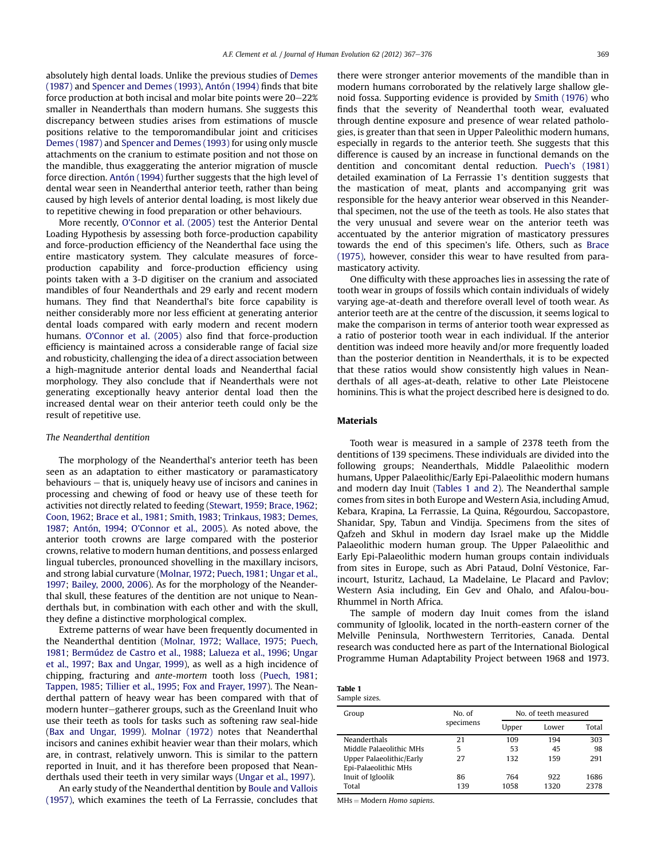absolutely high dental loads. Unlike the previous studies of [Demes](#page-8-0) [\(1987\)](#page-8-0) and [Spencer and Demes \(1993\),](#page-9-0) [Antón \(1994\)](#page-8-0) finds that bite force production at both incisal and molar bite points were  $20-22%$ smaller in Neanderthals than modern humans. She suggests this discrepancy between studies arises from estimations of muscle positions relative to the temporomandibular joint and criticises [Demes \(1987\)](#page-8-0) and [Spencer and Demes \(1993\)](#page-9-0) for using only muscle attachments on the cranium to estimate position and not those on the mandible, thus exaggerating the anterior migration of muscle force direction. [Antón \(1994\)](#page-8-0) further suggests that the high level of dental wear seen in Neanderthal anterior teeth, rather than being caused by high levels of anterior dental loading, is most likely due to repetitive chewing in food preparation or other behaviours.

More recently, O'[Connor et al. \(2005\)](#page-9-0) test the Anterior Dental Loading Hypothesis by assessing both force-production capability and force-production efficiency of the Neanderthal face using the entire masticatory system. They calculate measures of forceproduction capability and force-production efficiency using points taken with a 3-D digitiser on the cranium and associated mandibles of four Neanderthals and 29 early and recent modern humans. They find that Neanderthal's bite force capability is neither considerably more nor less efficient at generating anterior dental loads compared with early modern and recent modern humans. O'[Connor et al. \(2005\)](#page-9-0) also find that force-production efficiency is maintained across a considerable range of facial size and robusticity, challenging the idea of a direct association between a high-magnitude anterior dental loads and Neanderthal facial morphology. They also conclude that if Neanderthals were not generating exceptionally heavy anterior dental load then the increased dental wear on their anterior teeth could only be the result of repetitive use.

### The Neanderthal dentition

The morphology of the Neanderthal's anterior teeth has been seen as an adaptation to either masticatory or paramasticatory behaviours  $-$  that is, uniquely heavy use of incisors and canines in processing and chewing of food or heavy use of these teeth for activities not directly related to feeding [\(Stewart, 1959;](#page-9-0) [Brace, 1962;](#page-8-0) [Coon, 1962;](#page-8-0) [Brace et al., 1981;](#page-8-0) [Smith, 1983](#page-9-0); [Trinkaus, 1983;](#page-9-0) [Demes,](#page-8-0) [1987;](#page-8-0) [Antón, 1994;](#page-8-0) O'[Connor et al., 2005\)](#page-9-0). As noted above, the anterior tooth crowns are large compared with the posterior crowns, relative to modern human dentitions, and possess enlarged lingual tubercles, pronounced shovelling in the maxillary incisors, and strong labial curvature ([Molnar, 1972;](#page-9-0) [Puech, 1981;](#page-9-0) [Ungar et al.,](#page-9-0) [1997;](#page-9-0) [Bailey, 2000,](#page-8-0) [2006\)](#page-8-0). As for the morphology of the Neanderthal skull, these features of the dentition are not unique to Neanderthals but, in combination with each other and with the skull, they define a distinctive morphological complex.

Extreme patterns of wear have been frequently documented in the Neanderthal dentition [\(Molnar, 1972;](#page-9-0) [Wallace, 1975](#page-9-0); [Puech,](#page-9-0) [1981;](#page-9-0) [Bermúdez de Castro et al., 1988](#page-8-0); [Lalueza et al., 1996](#page-9-0); [Ungar](#page-9-0) [et al., 1997](#page-9-0); [Bax and Ungar, 1999\)](#page-8-0), as well as a high incidence of chipping, fracturing and ante-mortem tooth loss [\(Puech, 1981;](#page-9-0) [Tappen, 1985](#page-9-0); [Tillier et al., 1995](#page-9-0); [Fox and Frayer, 1997\)](#page-8-0). The Neanderthal pattern of heavy wear has been compared with that of modern hunter-gatherer groups, such as the Greenland Inuit who use their teeth as tools for tasks such as softening raw seal-hide ([Bax and Ungar, 1999](#page-8-0)). [Molnar \(1972\)](#page-9-0) notes that Neanderthal incisors and canines exhibit heavier wear than their molars, which are, in contrast, relatively unworn. This is similar to the pattern reported in Inuit, and it has therefore been proposed that Neanderthals used their teeth in very similar ways ([Ungar et al., 1997](#page-9-0)).

An early study of the Neanderthal dentition by [Boule and Vallois](#page-8-0) [\(1957\),](#page-8-0) which examines the teeth of La Ferrassie, concludes that there were stronger anterior movements of the mandible than in modern humans corroborated by the relatively large shallow glenoid fossa. Supporting evidence is provided by [Smith \(1976\)](#page-9-0) who finds that the severity of Neanderthal tooth wear, evaluated through dentine exposure and presence of wear related pathologies, is greater than that seen in Upper Paleolithic modern humans, especially in regards to the anterior teeth. She suggests that this difference is caused by an increase in functional demands on the dentition and concomitant dental reduction. Puech'[s \(1981\)](#page-9-0) detailed examination of La Ferrassie 1's dentition suggests that the mastication of meat, plants and accompanying grit was responsible for the heavy anterior wear observed in this Neanderthal specimen, not the use of the teeth as tools. He also states that the very unusual and severe wear on the anterior teeth was accentuated by the anterior migration of masticatory pressures towards the end of this specimen's life. Others, such as [Brace](#page-8-0) [\(1975\),](#page-8-0) however, consider this wear to have resulted from paramasticatory activity.

One difficulty with these approaches lies in assessing the rate of tooth wear in groups of fossils which contain individuals of widely varying age-at-death and therefore overall level of tooth wear. As anterior teeth are at the centre of the discussion, it seems logical to make the comparison in terms of anterior tooth wear expressed as a ratio of posterior tooth wear in each individual. If the anterior dentition was indeed more heavily and/or more frequently loaded than the posterior dentition in Neanderthals, it is to be expected that these ratios would show consistently high values in Neanderthals of all ages-at-death, relative to other Late Pleistocene hominins. This is what the project described here is designed to do.

#### Materials

Tooth wear is measured in a sample of 2378 teeth from the dentitions of 139 specimens. These individuals are divided into the following groups; Neanderthals, Middle Palaeolithic modern humans, Upper Palaeolithic/Early Epi-Palaeolithic modern humans and modern day Inuit (Tables 1 and 2). The Neanderthal sample comes from sites in both Europe and Western Asia, including Amud, Kebara, Krapina, La Ferrassie, La Quina, Régourdou, Saccopastore, Shanidar, Spy, Tabun and Vindija. Specimens from the sites of Qafzeh and Skhul in modern day Israel make up the Middle Palaeolithic modern human group. The Upper Palaeolithic and Early Epi-Palaeolithic modern human groups contain individuals from sites in Europe, such as Abri Pataud, Dolní Věstonice, Farincourt, Isturitz, Lachaud, La Madelaine, Le Placard and Pavlov; Western Asia including, Ein Gev and Ohalo, and Afalou-bou-Rhummel in North Africa.

The sample of modern day Inuit comes from the island community of Igloolik, located in the north-eastern corner of the Melville Peninsula, Northwestern Territories, Canada. Dental research was conducted here as part of the International Biological Programme Human Adaptability Project between 1968 and 1973.

| <b>Table 1</b> |  |
|----------------|--|
| Sample sizes.  |  |

| Group                    | No. of<br>specimens |       | No. of teeth measured |       |  |
|--------------------------|---------------------|-------|-----------------------|-------|--|
|                          |                     | Upper | Lower                 | Total |  |
| Neanderthals             | 21                  | 109   | 194                   | 303   |  |
| Middle Palaeolithic MHs  | 5                   | 53    | 45                    | 98    |  |
| Upper Palaeolithic/Early | 27                  | 132   | 159                   | 291   |  |
| Epi-Palaeolithic MHs     |                     |       |                       |       |  |
| Inuit of Igloolik        | 86                  | 764   | 922                   | 1686  |  |
| Total                    | 139                 | 1058  | 1320                  | 2378  |  |

MHs = Modern Homo sapiens.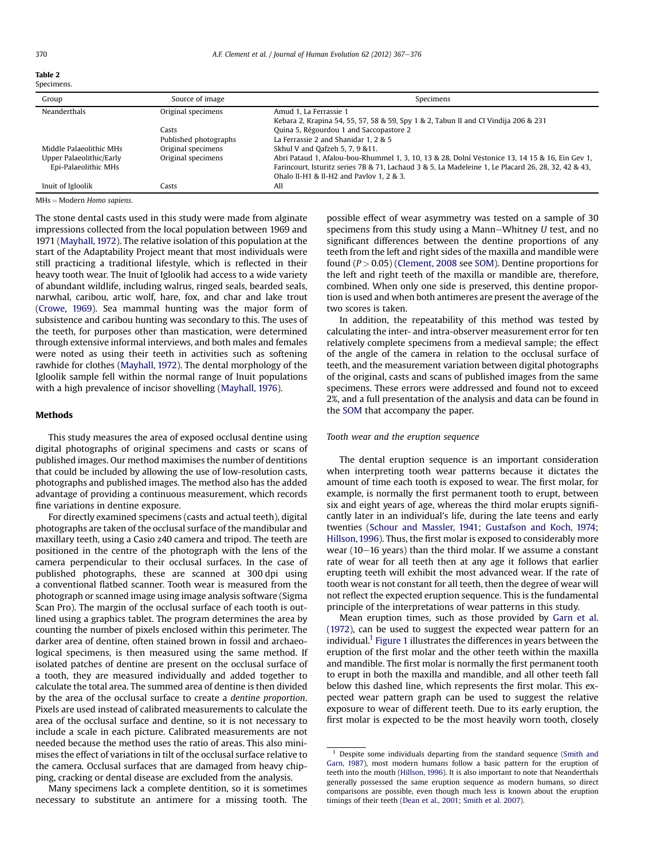## <span id="page-3-0"></span>Table 2

| Group                    | Source of image       | Specimens                                                                                           |
|--------------------------|-----------------------|-----------------------------------------------------------------------------------------------------|
| <b>Neanderthals</b>      | Original specimens    | Amud 1, La Ferrassie 1                                                                              |
|                          |                       | Kebara 2, Krapina 54, 55, 57, 58 & 59, Spy 1 & 2, Tabun II and CI Vindija 206 & 231                 |
|                          | Casts                 | Quina 5, Régourdou 1 and Saccopastore 2                                                             |
|                          | Published photographs | La Ferrassie 2 and Shanidar 1, 2 & 5                                                                |
| Middle Palaeolithic MHs  | Original specimens    | Skhul V and Qafzeh 5, 7, 9 & 11.                                                                    |
| Upper Palaeolithic/Early | Original specimens    | Abri Pataud 1, Afalou-bou-Rhummel 1, 3, 10, 13 & 28, Dolní Věstonice 13, 14 15 & 16, Ein Gev 1,     |
| Epi-Palaeolithic MHs     |                       | Farincourt, Isturitz series 7B & 71, Lachaud 3 & 5, La Madeleine 1, Le Placard 26, 28, 32, 42 & 43, |
|                          |                       | Ohalo II-H1 & II-H2 and Pavlov $1.2$ & $3.$                                                         |
| Inuit of Igloolik        | Casts                 | All                                                                                                 |

 $MHz = Modern$  Homo sapiens.

The stone dental casts used in this study were made from alginate impressions collected from the local population between 1969 and 1971 ([Mayhall, 1972](#page-9-0)). The relative isolation of this population at the start of the Adaptability Project meant that most individuals were still practicing a traditional lifestyle, which is reflected in their heavy tooth wear. The Inuit of Igloolik had access to a wide variety of abundant wildlife, including walrus, ringed seals, bearded seals, narwhal, caribou, artic wolf, hare, fox, and char and lake trout ([Crowe, 1969\)](#page-8-0). Sea mammal hunting was the major form of subsistence and caribou hunting was secondary to this. The uses of the teeth, for purposes other than mastication, were determined through extensive informal interviews, and both males and females were noted as using their teeth in activities such as softening rawhide for clothes [\(Mayhall, 1972\)](#page-9-0). The dental morphology of the Igloolik sample fell within the normal range of Inuit populations with a high prevalence of incisor shovelling [\(Mayhall, 1976](#page-9-0)).

#### Methods

This study measures the area of exposed occlusal dentine using digital photographs of original specimens and casts or scans of published images. Our method maximises the number of dentitions that could be included by allowing the use of low-resolution casts, photographs and published images. The method also has the added advantage of providing a continuous measurement, which records fine variations in dentine exposure.

For directly examined specimens (casts and actual teeth), digital photographs are taken of the occlusal surface of the mandibular and maxillary teeth, using a Casio z40 camera and tripod. The teeth are positioned in the centre of the photograph with the lens of the camera perpendicular to their occlusal surfaces. In the case of published photographs, these are scanned at 300 dpi using a conventional flatbed scanner. Tooth wear is measured from the photograph or scanned image using image analysis software (Sigma Scan Pro). The margin of the occlusal surface of each tooth is outlined using a graphics tablet. The program determines the area by counting the number of pixels enclosed within this perimeter. The darker area of dentine, often stained brown in fossil and archaeological specimens, is then measured using the same method. If isolated patches of dentine are present on the occlusal surface of a tooth, they are measured individually and added together to calculate the total area. The summed area of dentine is then divided by the area of the occlusal surface to create a dentine proportion. Pixels are used instead of calibrated measurements to calculate the area of the occlusal surface and dentine, so it is not necessary to include a scale in each picture. Calibrated measurements are not needed because the method uses the ratio of areas. This also minimises the effect of variations in tilt of the occlusal surface relative to the camera. Occlusal surfaces that are damaged from heavy chipping, cracking or dental disease are excluded from the analysis.

Many specimens lack a complete dentition, so it is sometimes necessary to substitute an antimere for a missing tooth. The possible effect of wear asymmetry was tested on a sample of 30 specimens from this study using a Mann-Whitney  $U$  test, and no significant differences between the dentine proportions of any teeth from the left and right sides of the maxilla and mandible were found  $(P > 0.05)$  [\(Clement, 2008](#page-8-0) see SOM). Dentine proportions for the left and right teeth of the maxilla or mandible are, therefore, combined. When only one side is preserved, this dentine proportion is used and when both antimeres are present the average of the two scores is taken.

In addition, the repeatability of this method was tested by calculating the inter- and intra-observer measurement error for ten relatively complete specimens from a medieval sample; the effect of the angle of the camera in relation to the occlusal surface of teeth, and the measurement variation between digital photographs of the original, casts and scans of published images from the same specimens. These errors were addressed and found not to exceed 2%, and a full presentation of the analysis and data can be found in the SOM that accompany the paper.

#### Tooth wear and the eruption sequence

The dental eruption sequence is an important consideration when interpreting tooth wear patterns because it dictates the amount of time each tooth is exposed to wear. The first molar, for example, is normally the first permanent tooth to erupt, between six and eight years of age, whereas the third molar erupts significantly later in an individual's life, during the late teens and early twenties ([Schour and Massler, 1941;](#page-9-0) [Gustafson and Koch, 1974](#page-9-0); [Hillson, 1996\)](#page-9-0). Thus, the first molar is exposed to considerably more wear ( $10-16$  years) than the third molar. If we assume a constant rate of wear for all teeth then at any age it follows that earlier erupting teeth will exhibit the most advanced wear. If the rate of tooth wear is not constant for all teeth, then the degree of wear will not reflect the expected eruption sequence. This is the fundamental principle of the interpretations of wear patterns in this study.

Mean eruption times, such as those provided by [Garn et al.](#page-8-0) [\(1972\),](#page-8-0) can be used to suggest the expected wear pattern for an individual.<sup>1</sup> [Figure 1](#page-4-0) illustrates the differences in years between the eruption of the first molar and the other teeth within the maxilla and mandible. The first molar is normally the first permanent tooth to erupt in both the maxilla and mandible, and all other teeth fall below this dashed line, which represents the first molar. This expected wear pattern graph can be used to suggest the relative exposure to wear of different teeth. Due to its early eruption, the first molar is expected to be the most heavily worn tooth, closely

<sup>&</sup>lt;sup>1</sup> Despite some individuals departing from the standard sequence ([Smith and](#page-9-0) [Garn, 1987\)](#page-9-0), most modern humans follow a basic pattern for the eruption of teeth into the mouth ([Hillson, 1996](#page-9-0)). It is also important to note that Neanderthals generally possessed the same eruption sequence as modern humans, so direct comparisons are possible, even though much less is known about the eruption timings of their teeth ([Dean et al., 2001;](#page-8-0) [Smith et al. 2007\)](#page-9-0).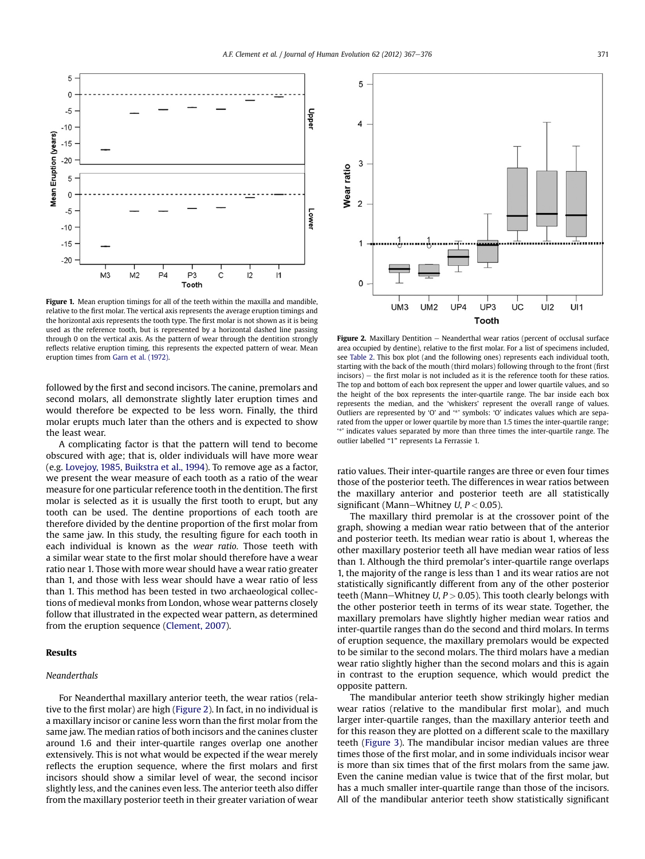<span id="page-4-0"></span>

Figure 1. Mean eruption timings for all of the teeth within the maxilla and mandible. relative to the first molar. The vertical axis represents the average eruption timings and the horizontal axis represents the tooth type. The first molar is not shown as it is being used as the reference tooth, but is represented by a horizontal dashed line passing through 0 on the vertical axis. As the pattern of wear through the dentition strongly reflects relative eruption timing, this represents the expected pattern of wear. Mean eruption times from [Garn et al. \(1972\).](#page-8-0)

followed by the first and second incisors. The canine, premolars and second molars, all demonstrate slightly later eruption times and would therefore be expected to be less worn. Finally, the third molar erupts much later than the others and is expected to show the least wear.

A complicating factor is that the pattern will tend to become obscured with age; that is, older individuals will have more wear (e.g. [Lovejoy, 1985](#page-9-0), [Buikstra et al., 1994](#page-8-0)). To remove age as a factor, we present the wear measure of each tooth as a ratio of the wear measure for one particular reference tooth in the dentition. The first molar is selected as it is usually the first tooth to erupt, but any tooth can be used. The dentine proportions of each tooth are therefore divided by the dentine proportion of the first molar from the same jaw. In this study, the resulting figure for each tooth in each individual is known as the wear ratio. Those teeth with a similar wear state to the first molar should therefore have a wear ratio near 1. Those with more wear should have a wear ratio greater than 1, and those with less wear should have a wear ratio of less than 1. This method has been tested in two archaeological collections of medieval monks from London, whose wear patterns closely follow that illustrated in the expected wear pattern, as determined from the eruption sequence ([Clement, 2007\)](#page-8-0).

## Results

## Neanderthals

For Neanderthal maxillary anterior teeth, the wear ratios (relative to the first molar) are high (Figure 2). In fact, in no individual is a maxillary incisor or canine less worn than the first molar from the same jaw. The median ratios of both incisors and the canines cluster around 1.6 and their inter-quartile ranges overlap one another extensively. This is not what would be expected if the wear merely reflects the eruption sequence, where the first molars and first incisors should show a similar level of wear, the second incisor slightly less, and the canines even less. The anterior teeth also differ from the maxillary posterior teeth in their greater variation of wear



Figure 2. Maxillary Dentition  $-$  Neanderthal wear ratios (percent of occlusal surface area occupied by dentine), relative to the first molar. For a list of specimens included, see [Table 2.](#page-3-0) This box plot (and the following ones) represents each individual tooth, starting with the back of the mouth (third molars) following through to the front (first incisors) e the first molar is not included as it is the reference tooth for these ratios. The top and bottom of each box represent the upper and lower quartile values, and so the height of the box represents the inter-quartile range. The bar inside each box represents the median, and the 'whiskers' represent the overall range of values. Outliers are represented by 'O' and '\*' symbols: 'O' indicates values which are separated from the upper or lower quartile by more than 1.5 times the inter-quartile range; '\*' indicates values separated by more than three times the inter-quartile range. The outlier labelled "1" represents La Ferrassie 1.

ratio values. Their inter-quartile ranges are three or even four times those of the posterior teeth. The differences in wear ratios between the maxillary anterior and posterior teeth are all statistically significant (Mann–Whitney  $U, P < 0.05$ ).

The maxillary third premolar is at the crossover point of the graph, showing a median wear ratio between that of the anterior and posterior teeth. Its median wear ratio is about 1, whereas the other maxillary posterior teeth all have median wear ratios of less than 1. Although the third premolar's inter-quartile range overlaps 1, the majority of the range is less than 1 and its wear ratios are not statistically significantly different from any of the other posterior teeth (Mann-Whitney U,  $P > 0.05$ ). This tooth clearly belongs with the other posterior teeth in terms of its wear state. Together, the maxillary premolars have slightly higher median wear ratios and inter-quartile ranges than do the second and third molars. In terms of eruption sequence, the maxillary premolars would be expected to be similar to the second molars. The third molars have a median wear ratio slightly higher than the second molars and this is again in contrast to the eruption sequence, which would predict the opposite pattern.

The mandibular anterior teeth show strikingly higher median wear ratios (relative to the mandibular first molar), and much larger inter-quartile ranges, than the maxillary anterior teeth and for this reason they are plotted on a different scale to the maxillary teeth [\(Figure 3\)](#page-5-0). The mandibular incisor median values are three times those of the first molar, and in some individuals incisor wear is more than six times that of the first molars from the same jaw. Even the canine median value is twice that of the first molar, but has a much smaller inter-quartile range than those of the incisors. All of the mandibular anterior teeth show statistically significant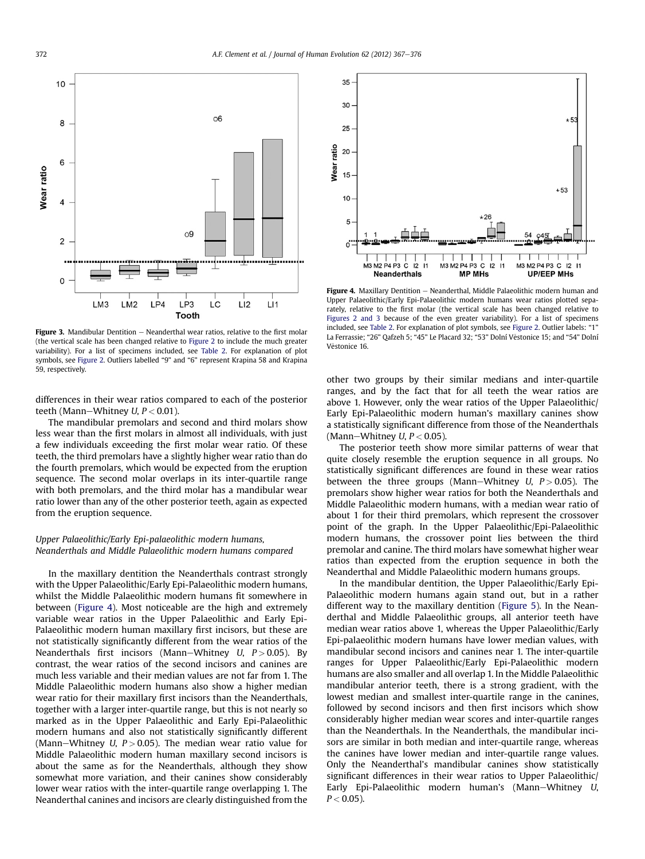<span id="page-5-0"></span>

Figure 3. Mandibular Dentition  $-$  Neanderthal wear ratios, relative to the first molar (the vertical scale has been changed relative to [Figure 2](#page-4-0) to include the much greater variability). For a list of specimens included, see [Table 2](#page-3-0). For explanation of plot symbols, see [Figure 2.](#page-4-0) Outliers labelled "9" and "6" represent Krapina 58 and Krapina 59, respectively.

differences in their wear ratios compared to each of the posterior teeth (Mann-Whitney U,  $P < 0.01$ ).

The mandibular premolars and second and third molars show less wear than the first molars in almost all individuals, with just a few individuals exceeding the first molar wear ratio. Of these teeth, the third premolars have a slightly higher wear ratio than do the fourth premolars, which would be expected from the eruption sequence. The second molar overlaps in its inter-quartile range with both premolars, and the third molar has a mandibular wear ratio lower than any of the other posterior teeth, again as expected from the eruption sequence.

## Upper Palaeolithic/Early Epi-palaeolithic modern humans, Neanderthals and Middle Palaeolithic modern humans compared

In the maxillary dentition the Neanderthals contrast strongly with the Upper Palaeolithic/Early Epi-Palaeolithic modern humans, whilst the Middle Palaeolithic modern humans fit somewhere in between (Figure 4). Most noticeable are the high and extremely variable wear ratios in the Upper Palaeolithic and Early Epi-Palaeolithic modern human maxillary first incisors, but these are not statistically significantly different from the wear ratios of the Neanderthals first incisors (Mann–Whitney U,  $P > 0.05$ ). By contrast, the wear ratios of the second incisors and canines are much less variable and their median values are not far from 1. The Middle Palaeolithic modern humans also show a higher median wear ratio for their maxillary first incisors than the Neanderthals, together with a larger inter-quartile range, but this is not nearly so marked as in the Upper Palaeolithic and Early Epi-Palaeolithic modern humans and also not statistically significantly different (Mann-Whitney U,  $P > 0.05$ ). The median wear ratio value for Middle Palaeolithic modern human maxillary second incisors is about the same as for the Neanderthals, although they show somewhat more variation, and their canines show considerably lower wear ratios with the inter-quartile range overlapping 1. The Neanderthal canines and incisors are clearly distinguished from the



Figure 4. Maxillary Dentition - Neanderthal, Middle Palaeolithic modern human and Upper Palaeolithic/Early Epi-Palaeolithic modern humans wear ratios plotted separately, relative to the first molar (the vertical scale has been changed relative to [Figures 2 and 3](#page-4-0) because of the even greater variability). For a list of specimens included, see [Table 2.](#page-3-0) For explanation of plot symbols, see [Figure 2](#page-4-0). Outlier labels: "1" La Ferrassie; "26" Qafzeh 5; "45" Le Placard 32; "53" Dolní Věstonice 15; and "54" Dolní Věstonice 16.

other two groups by their similar medians and inter-quartile ranges, and by the fact that for all teeth the wear ratios are above 1. However, only the wear ratios of the Upper Palaeolithic/ Early Epi-Palaeolithic modern human's maxillary canines show a statistically significant difference from those of the Neanderthals (Mann-Whitney  $U, P < 0.05$ ).

The posterior teeth show more similar patterns of wear that quite closely resemble the eruption sequence in all groups. No statistically significant differences are found in these wear ratios between the three groups (Mann-Whitney  $U, P > 0.05$ ). The premolars show higher wear ratios for both the Neanderthals and Middle Palaeolithic modern humans, with a median wear ratio of about 1 for their third premolars, which represent the crossover point of the graph. In the Upper Palaeolithic/Epi-Palaeolithic modern humans, the crossover point lies between the third premolar and canine. The third molars have somewhat higher wear ratios than expected from the eruption sequence in both the Neanderthal and Middle Palaeolithic modern humans groups.

In the mandibular dentition, the Upper Palaeolithic/Early Epi-Palaeolithic modern humans again stand out, but in a rather different way to the maxillary dentition [\(Figure 5](#page-6-0)). In the Neanderthal and Middle Palaeolithic groups, all anterior teeth have median wear ratios above 1, whereas the Upper Palaeolithic/Early Epi-palaeolithic modern humans have lower median values, with mandibular second incisors and canines near 1. The inter-quartile ranges for Upper Palaeolithic/Early Epi-Palaeolithic modern humans are also smaller and all overlap 1. In the Middle Palaeolithic mandibular anterior teeth, there is a strong gradient, with the lowest median and smallest inter-quartile range in the canines, followed by second incisors and then first incisors which show considerably higher median wear scores and inter-quartile ranges than the Neanderthals. In the Neanderthals, the mandibular incisors are similar in both median and inter-quartile range, whereas the canines have lower median and inter-quartile range values. Only the Neanderthal's mandibular canines show statistically significant differences in their wear ratios to Upper Palaeolithic/ Early Epi-Palaeolithic modern human's (Mann-Whitney U,  $P < 0.05$ ).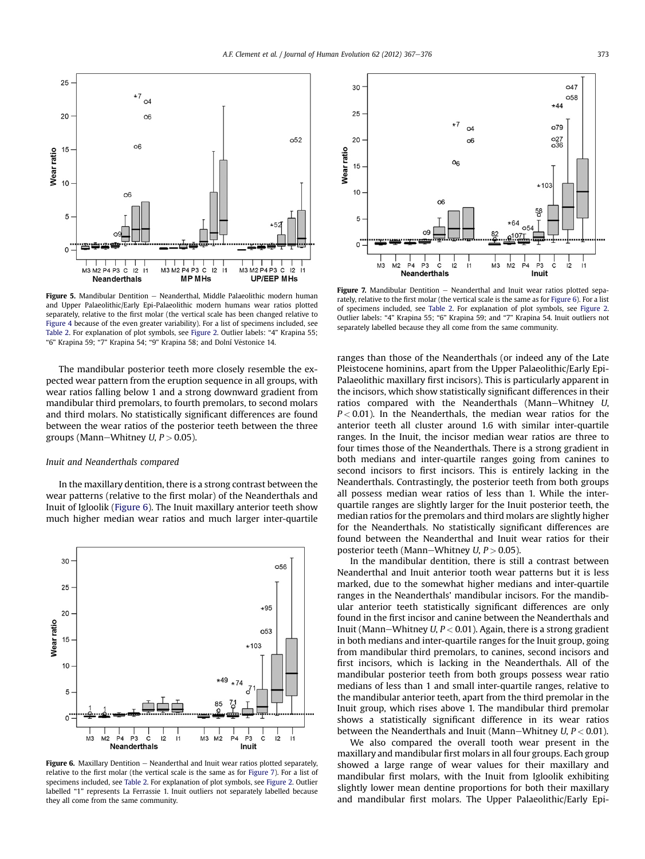<span id="page-6-0"></span>

**Figure 5.** Mandibular Dentition  $-$  Neanderthal, Middle Palaeolithic modern human and Upper Palaeolithic/Early Epi-Palaeolithic modern humans wear ratios plotted separately, relative to the first molar (the vertical scale has been changed relative to [Figure 4](#page-5-0) because of the even greater variability). For a list of specimens included, see [Table 2.](#page-3-0) For explanation of plot symbols, see [Figure 2.](#page-4-0) Outlier labels: "4" Krapina 55; "6" Krapina 59; "7" Krapina 54; "9" Krapina 58; and Dolní Věstonice 14.

The mandibular posterior teeth more closely resemble the expected wear pattern from the eruption sequence in all groups, with wear ratios falling below 1 and a strong downward gradient from mandibular third premolars, to fourth premolars, to second molars and third molars. No statistically significant differences are found between the wear ratios of the posterior teeth between the three groups (Mann-Whitney  $U, P > 0.05$ ).

## Inuit and Neanderthals compared

In the maxillary dentition, there is a strong contrast between the wear patterns (relative to the first molar) of the Neanderthals and Inuit of Igloolik (Figure 6). The Inuit maxillary anterior teeth show much higher median wear ratios and much larger inter-quartile



**Figure 6.** Maxillary Dentition  $-$  Neanderthal and Inuit wear ratios plotted separately, relative to the first molar (the vertical scale is the same as for Figure 7). For a list of specimens included, see [Table 2.](#page-3-0) For explanation of plot symbols, see [Figure 2.](#page-4-0) Outlier labelled "1" represents La Ferrassie 1. Inuit outliers not separately labelled because they all come from the same community.



**Figure 7.** Mandibular Dentition  $-$  Neanderthal and Inuit wear ratios plotted separately, relative to the first molar (the vertical scale is the same as for Figure 6). For a list of specimens included, see [Table 2.](#page-3-0) For explanation of plot symbols, see [Figure 2](#page-4-0). Outlier labels: "4" Krapina 55; "6" Krapina 59; and "7" Krapina 54. Inuit outliers not separately labelled because they all come from the same community.

ranges than those of the Neanderthals (or indeed any of the Late Pleistocene hominins, apart from the Upper Palaeolithic/Early Epi-Palaeolithic maxillary first incisors). This is particularly apparent in the incisors, which show statistically significant differences in their ratios compared with the Neanderthals (Mann-Whitney U,  $P < 0.01$ ). In the Neanderthals, the median wear ratios for the anterior teeth all cluster around 1.6 with similar inter-quartile ranges. In the Inuit, the incisor median wear ratios are three to four times those of the Neanderthals. There is a strong gradient in both medians and inter-quartile ranges going from canines to second incisors to first incisors. This is entirely lacking in the Neanderthals. Contrastingly, the posterior teeth from both groups all possess median wear ratios of less than 1. While the interquartile ranges are slightly larger for the Inuit posterior teeth, the median ratios for the premolars and third molars are slightly higher for the Neanderthals. No statistically significant differences are found between the Neanderthal and Inuit wear ratios for their posterior teeth (Mann-Whitney U,  $P > 0.05$ ).

In the mandibular dentition, there is still a contrast between Neanderthal and Inuit anterior tooth wear patterns but it is less marked, due to the somewhat higher medians and inter-quartile ranges in the Neanderthals' mandibular incisors. For the mandibular anterior teeth statistically significant differences are only found in the first incisor and canine between the Neanderthals and Inuit (Mann-Whitney  $U, P < 0.01$ ). Again, there is a strong gradient in both medians and inter-quartile ranges for the Inuit group, going from mandibular third premolars, to canines, second incisors and first incisors, which is lacking in the Neanderthals. All of the mandibular posterior teeth from both groups possess wear ratio medians of less than 1 and small inter-quartile ranges, relative to the mandibular anterior teeth, apart from the third premolar in the Inuit group, which rises above 1. The mandibular third premolar shows a statistically significant difference in its wear ratios between the Neanderthals and Inuit (Mann-Whitney  $U, P < 0.01$ ).

We also compared the overall tooth wear present in the maxillary and mandibular first molars in all four groups. Each group showed a large range of wear values for their maxillary and mandibular first molars, with the Inuit from Igloolik exhibiting slightly lower mean dentine proportions for both their maxillary and mandibular first molars. The Upper Palaeolithic/Early Epi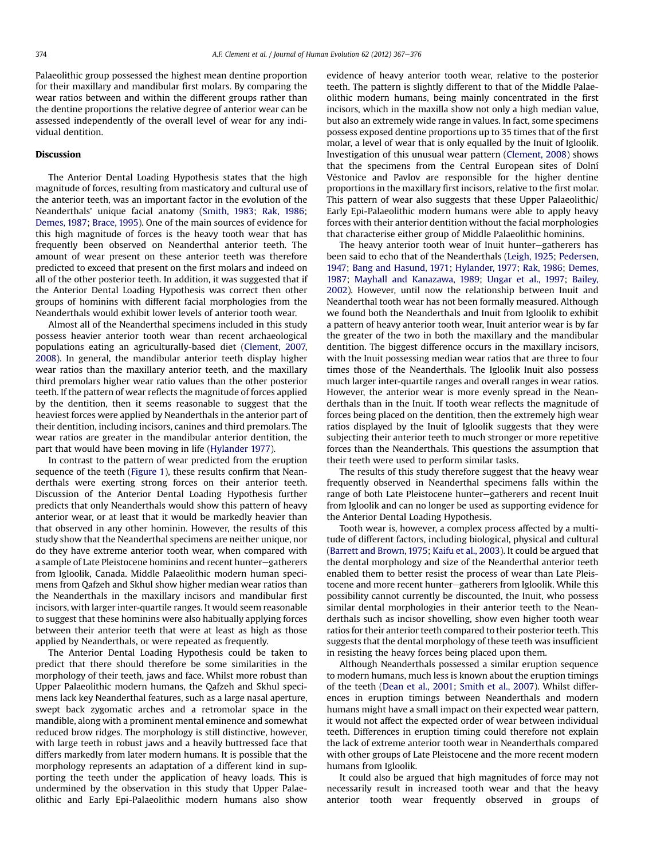Palaeolithic group possessed the highest mean dentine proportion for their maxillary and mandibular first molars. By comparing the wear ratios between and within the different groups rather than the dentine proportions the relative degree of anterior wear can be assessed independently of the overall level of wear for any individual dentition.

#### Discussion

The Anterior Dental Loading Hypothesis states that the high magnitude of forces, resulting from masticatory and cultural use of the anterior teeth, was an important factor in the evolution of the Neanderthals' unique facial anatomy [\(Smith, 1983](#page-9-0); [Rak, 1986](#page-9-0); [Demes, 1987](#page-8-0); [Brace, 1995\)](#page-8-0). One of the main sources of evidence for this high magnitude of forces is the heavy tooth wear that has frequently been observed on Neanderthal anterior teeth. The amount of wear present on these anterior teeth was therefore predicted to exceed that present on the first molars and indeed on all of the other posterior teeth. In addition, it was suggested that if the Anterior Dental Loading Hypothesis was correct then other groups of hominins with different facial morphologies from the Neanderthals would exhibit lower levels of anterior tooth wear.

Almost all of the Neanderthal specimens included in this study possess heavier anterior tooth wear than recent archaeological populations eating an agriculturally-based diet ([Clement, 2007,](#page-8-0) [2008](#page-8-0)). In general, the mandibular anterior teeth display higher wear ratios than the maxillary anterior teeth, and the maxillary third premolars higher wear ratio values than the other posterior teeth. If the pattern of wear reflects the magnitude of forces applied by the dentition, then it seems reasonable to suggest that the heaviest forces were applied by Neanderthals in the anterior part of their dentition, including incisors, canines and third premolars. The wear ratios are greater in the mandibular anterior dentition, the part that would have been moving in life [\(Hylander 1977\)](#page-9-0).

In contrast to the pattern of wear predicted from the eruption sequence of the teeth [\(Figure 1](#page-4-0)), these results confirm that Neanderthals were exerting strong forces on their anterior teeth. Discussion of the Anterior Dental Loading Hypothesis further predicts that only Neanderthals would show this pattern of heavy anterior wear, or at least that it would be markedly heavier than that observed in any other hominin. However, the results of this study show that the Neanderthal specimens are neither unique, nor do they have extreme anterior tooth wear, when compared with a sample of Late Pleistocene hominins and recent hunter-gatherers from Igloolik, Canada. Middle Palaeolithic modern human specimens from Qafzeh and Skhul show higher median wear ratios than the Neanderthals in the maxillary incisors and mandibular first incisors, with larger inter-quartile ranges. It would seem reasonable to suggest that these hominins were also habitually applying forces between their anterior teeth that were at least as high as those applied by Neanderthals, or were repeated as frequently.

The Anterior Dental Loading Hypothesis could be taken to predict that there should therefore be some similarities in the morphology of their teeth, jaws and face. Whilst more robust than Upper Palaeolithic modern humans, the Qafzeh and Skhul specimens lack key Neanderthal features, such as a large nasal aperture, swept back zygomatic arches and a retromolar space in the mandible, along with a prominent mental eminence and somewhat reduced brow ridges. The morphology is still distinctive, however, with large teeth in robust jaws and a heavily buttressed face that differs markedly from later modern humans. It is possible that the morphology represents an adaptation of a different kind in supporting the teeth under the application of heavy loads. This is undermined by the observation in this study that Upper Palaeolithic and Early Epi-Palaeolithic modern humans also show evidence of heavy anterior tooth wear, relative to the posterior teeth. The pattern is slightly different to that of the Middle Palaeolithic modern humans, being mainly concentrated in the first incisors, which in the maxilla show not only a high median value, but also an extremely wide range in values. In fact, some specimens possess exposed dentine proportions up to 35 times that of the first molar, a level of wear that is only equalled by the Inuit of Igloolik. Investigation of this unusual wear pattern [\(Clement, 2008](#page-8-0)) shows that the specimens from the Central European sites of Dolní Věstonice and Pavlov are responsible for the higher dentine proportions in the maxillary first incisors, relative to the first molar. This pattern of wear also suggests that these Upper Palaeolithic/ Early Epi-Palaeolithic modern humans were able to apply heavy forces with their anterior dentition without the facial morphologies that characterise either group of Middle Palaeolithic hominins.

The heavy anterior tooth wear of Inuit hunter-gatherers has been said to echo that of the Neanderthals ([Leigh, 1925](#page-9-0); [Pedersen,](#page-9-0) [1947;](#page-9-0) [Bang and Hasund, 1971;](#page-8-0) [Hylander, 1977](#page-9-0); [Rak, 1986;](#page-9-0) [Demes,](#page-8-0) [1987](#page-8-0); [Mayhall and Kanazawa, 1989;](#page-9-0) [Ungar et al., 1997](#page-9-0); [Bailey,](#page-8-0) [2002](#page-8-0)). However, until now the relationship between Inuit and Neanderthal tooth wear has not been formally measured. Although we found both the Neanderthals and Inuit from Igloolik to exhibit a pattern of heavy anterior tooth wear, Inuit anterior wear is by far the greater of the two in both the maxillary and the mandibular dentition. The biggest difference occurs in the maxillary incisors, with the Inuit possessing median wear ratios that are three to four times those of the Neanderthals. The Igloolik Inuit also possess much larger inter-quartile ranges and overall ranges in wear ratios. However, the anterior wear is more evenly spread in the Neanderthals than in the Inuit. If tooth wear reflects the magnitude of forces being placed on the dentition, then the extremely high wear ratios displayed by the Inuit of Igloolik suggests that they were subjecting their anterior teeth to much stronger or more repetitive forces than the Neanderthals. This questions the assumption that their teeth were used to perform similar tasks.

The results of this study therefore suggest that the heavy wear frequently observed in Neanderthal specimens falls within the range of both Late Pleistocene hunter-gatherers and recent Inuit from Igloolik and can no longer be used as supporting evidence for the Anterior Dental Loading Hypothesis.

Tooth wear is, however, a complex process affected by a multitude of different factors, including biological, physical and cultural ([Barrett and Brown, 1975](#page-8-0); [Kaifu et al., 2003\)](#page-9-0). It could be argued that the dental morphology and size of the Neanderthal anterior teeth enabled them to better resist the process of wear than Late Pleistocene and more recent hunter-gatherers from Igloolik. While this possibility cannot currently be discounted, the Inuit, who possess similar dental morphologies in their anterior teeth to the Neanderthals such as incisor shovelling, show even higher tooth wear ratios for their anterior teeth compared to their posterior teeth. This suggests that the dental morphology of these teeth was insufficient in resisting the heavy forces being placed upon them.

Although Neanderthals possessed a similar eruption sequence to modern humans, much less is known about the eruption timings of the teeth [\(Dean et al., 2001;](#page-8-0) [Smith et al., 2007](#page-9-0)). Whilst differences in eruption timings between Neanderthals and modern humans might have a small impact on their expected wear pattern, it would not affect the expected order of wear between individual teeth. Differences in eruption timing could therefore not explain the lack of extreme anterior tooth wear in Neanderthals compared with other groups of Late Pleistocene and the more recent modern humans from Igloolik.

It could also be argued that high magnitudes of force may not necessarily result in increased tooth wear and that the heavy anterior tooth wear frequently observed in groups of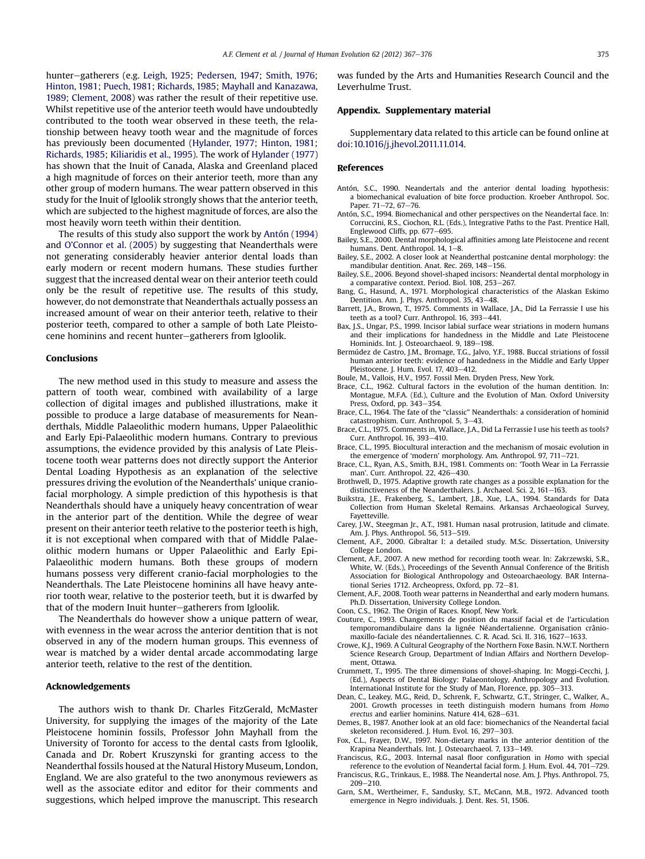<span id="page-8-0"></span>hunter-gatherers (e.g. [Leigh, 1925;](#page-9-0) [Pedersen, 1947](#page-9-0); [Smith, 1976;](#page-9-0) [Hinton, 1981;](#page-9-0) [Puech, 1981](#page-9-0); [Richards, 1985;](#page-9-0) [Mayhall and Kanazawa,](#page-9-0) [1989;](#page-9-0) Clement, 2008) was rather the result of their repetitive use. Whilst repetitive use of the anterior teeth would have undoubtedly contributed to the tooth wear observed in these teeth, the relationship between heavy tooth wear and the magnitude of forces has previously been documented ([Hylander, 1977](#page-9-0); [Hinton, 1981;](#page-9-0) [Richards, 1985;](#page-9-0) [Kiliaridis et al., 1995\)](#page-9-0). The work of [Hylander \(1977\)](#page-9-0) has shown that the Inuit of Canada, Alaska and Greenland placed a high magnitude of forces on their anterior teeth, more than any other group of modern humans. The wear pattern observed in this study for the Inuit of Igloolik strongly shows that the anterior teeth, which are subjected to the highest magnitude of forces, are also the most heavily worn teeth within their dentition.

The results of this study also support the work by Antón (1994) and O'[Connor et al. \(2005\)](#page-9-0) by suggesting that Neanderthals were not generating considerably heavier anterior dental loads than early modern or recent modern humans. These studies further suggest that the increased dental wear on their anterior teeth could only be the result of repetitive use. The results of this study, however, do not demonstrate that Neanderthals actually possess an increased amount of wear on their anterior teeth, relative to their posterior teeth, compared to other a sample of both Late Pleistocene hominins and recent hunter-gatherers from Igloolik.

#### Conclusions

The new method used in this study to measure and assess the pattern of tooth wear, combined with availability of a large collection of digital images and published illustrations, make it possible to produce a large database of measurements for Neanderthals, Middle Palaeolithic modern humans, Upper Palaeolithic and Early Epi-Palaeolithic modern humans. Contrary to previous assumptions, the evidence provided by this analysis of Late Pleistocene tooth wear patterns does not directly support the Anterior Dental Loading Hypothesis as an explanation of the selective pressures driving the evolution of the Neanderthals' unique craniofacial morphology. A simple prediction of this hypothesis is that Neanderthals should have a uniquely heavy concentration of wear in the anterior part of the dentition. While the degree of wear present on their anterior teeth relative to the posterior teeth is high, it is not exceptional when compared with that of Middle Palaeolithic modern humans or Upper Palaeolithic and Early Epi-Palaeolithic modern humans. Both these groups of modern humans possess very different cranio-facial morphologies to the Neanderthals. The Late Pleistocene hominins all have heavy anterior tooth wear, relative to the posterior teeth, but it is dwarfed by that of the modern Inuit hunter-gatherers from Igloolik.

The Neanderthals do however show a unique pattern of wear, with evenness in the wear across the anterior dentition that is not observed in any of the modern human groups. This evenness of wear is matched by a wider dental arcade accommodating large anterior teeth, relative to the rest of the dentition.

## Acknowledgements

The authors wish to thank Dr. Charles FitzGerald, McMaster University, for supplying the images of the majority of the Late Pleistocene hominin fossils, Professor John Mayhall from the University of Toronto for access to the dental casts from Igloolik, Canada and Dr. Robert Kruszynski for granting access to the Neanderthal fossils housed at the Natural History Museum, London, England. We are also grateful to the two anonymous reviewers as well as the associate editor and editor for their comments and suggestions, which helped improve the manuscript. This research was funded by the Arts and Humanities Research Council and the Leverhulme Trust.

#### Appendix. Supplementary material

Supplementary data related to this article can be found online at [doi:10.1016/j.jhevol.2011.11.014](http://dx.doi.org/10.1016/j.jhevol.2011.11.014).

#### References

- Antón, S.C., 1990. Neandertals and the anterior dental loading hypothesis: a biomechanical evaluation of bite force production. Kroeber Anthropol. Soc. Paper. 71-72, 67-76.
- Antón, S.C., 1994. Biomechanical and other perspectives on the Neandertal face. In: Corruccini, R.S., Ciochon, R.L. (Eds.), Integrative Paths to the Past. Prentice Hall, Englewood Cliffs, pp. 677-695.
- Bailey, S.E., 2000. Dental morphological affinities among late Pleistocene and recent humans. Dent. Anthropol. 14, 1-8.
- Bailey, S.E., 2002. A closer look at Neanderthal postcanine dental morphology: the mandibular dentition. Anat. Rec. 269,  $148-156$ .
- Bailey, S.E., 2006. Beyond shovel-shaped incisors: Neandertal dental morphology in a comparative context. Period. Biol. 108, 253-267.
- Bang, G., Hasund, A., 1971. Morphological characteristics of the Alaskan Eskimo Dentition. Am. J. Phys. Anthropol. 35, 43-48.
- Barrett, J.A., Brown, T., 1975. Comments in Wallace, J.A., Did La Ferrassie I use his teeth as a tool? Curr. Anthropol. 16, 393-441.
- Bax, J.S., Ungar, P.S., 1999. Incisor labial surface wear striations in modern humans and their implications for handedness in the Middle and Late Pleistocene Hominids. Int. J. Osteoarchaeol. 9, 189-198.
- Bermúdez de Castro, J.M., Bromage, T.G., Jalvo, Y.F., 1988. Buccal striations of fossil human anterior teeth: evidence of handedness in the Middle and Early Upper Pleistocene. J. Hum. Evol. 17, 403-412.
- Boule, M., Vallois, H.V., 1957. Fossil Men. Dryden Press, New York.
- Brace, C.L., 1962. Cultural factors in the evolution of the human dentition. In: Montague, M.F.A. (Ed.), Culture and the Evolution of Man. Oxford University Press, Oxford, pp. 343-354.
- Brace, C.L., 1964. The fate of the "classic" Neanderthals: a consideration of hominid catastrophism. Curr. Anthropol. 5, 3-43.
- Brace, C.L., 1975. Comments in, Wallace, J.A., Did La Ferrassie I use his teeth as tools? Curr. Anthropol. 16, 393-410.
- Brace, C.L., 1995. Biocultural interaction and the mechanism of mosaic evolution in the emergence of 'modern' morphology. Am. Anthropol. 97, 711-721
- Brace, C.L., Ryan, A.S., Smith, B.H., 1981. Comments on: 'Tooth Wear in La Ferrassie man'. Curr. Anthropol. 22, 426-430.
- Brothwell, D., 1975. Adaptive growth rate changes as a possible explanation for the distinctiveness of the Neanderthalers. J. Archaeol. Sci. 2, 161-163.
- Buikstra, J.E., Frakenberg, S., Lambert, J.B., Xue, L.A., 1994. Standards for Data Collection from Human Skeletal Remains. Arkansas Archaeological Survey, Fayetteville.
- Carey, J.W., Steegman Jr., A.T., 1981. Human nasal protrusion, latitude and climate. Am. I. Phys. Anthropol. 56, 513-519.
- Clement, A.F., 2000. Gibraltar I: a detailed study. M.Sc. Dissertation, University College London.
- Clement, A.F., 2007. A new method for recording tooth wear. In: Zakrzewski, S.R., White, W. (Eds.), Proceedings of the Seventh Annual Conference of the British Association for Biological Anthropology and Osteoarchaeology. BAR International Series 1712. Archeopress, Oxford, pp. 72-81.
- Clement, A.F., 2008. Tooth wear patterns in Neanderthal and early modern humans. Ph.D. Dissertation, University College London.
- Coon, C.S., 1962. The Origin of Races. Knopf, New York.
- Couture, C., 1993. Changements de position du massif facial et de l'articulation temporomandibulaire dans la lignée Néandertalienne. Organisation crâniomaxillo-faciale des néandertaliennes. C. R. Acad. Sci. II. 316, 1627-1633.
- Crowe, K.J., 1969. A Cultural Geography of the Northern Foxe Basin. N.W.T. Northern Science Research Group, Department of Indian Affairs and Northern Development, Ottawa.
- Crummett, T., 1995. The three dimensions of shovel-shaping. In: Moggi-Cecchi, J. (Ed.), Aspects of Dental Biology: Palaeontology, Anthropology and Evolution. International Institute for the Study of Man, Florence, pp. 305-313.
- Dean, C., Leakey, M.G., Reid, D., Schrenk, F., Schwartz, G.T., Stringer, C., Walker, A., 2001. Growth processes in teeth distinguish modern humans from Homo erectus and earlier hominins. Nature 414, 628-631.
- Demes, B., 1987. Another look at an old face: biomechanics of the Neandertal facial skeleton reconsidered. J. Hum. Evol. 16, 297-303.
- Fox, C.L., Frayer, D.W., 1997. Non-dietary marks in the anterior dentition of the Krapina Neanderthals. Int. J. Osteoarchaeol. 7, 133-149.
- Franciscus, R.G., 2003. Internal nasal floor configuration in Homo with special reference to the evolution of Neandertal facial form. J. Hum. Evol. 44, 701-729.
- Franciscus, R.G., Trinkaus, E., 1988. The Neandertal nose. Am. J. Phys. Anthropol. 75,  $209 - 210$
- Garn, S.M., Wertheimer, F., Sandusky, S.T., McCann, M.B., 1972. Advanced tooth emergence in Negro individuals. J. Dent. Res. 51, 1506.